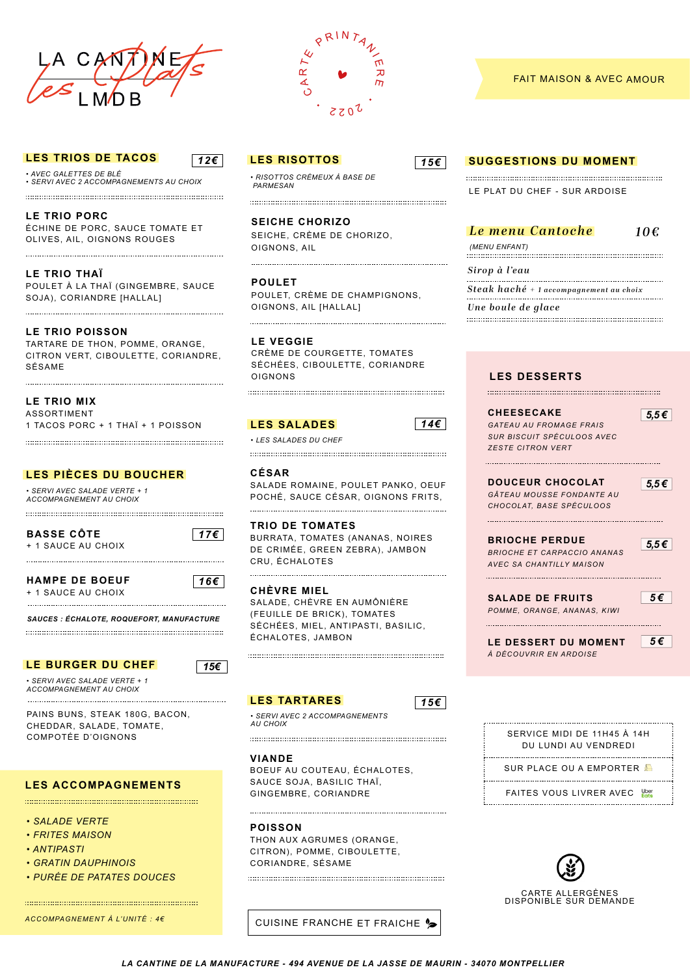

### **LES TRIOS DE TACOS**

**. AVEC GALETTES DE BLÉ** · SERVI AVEC 2 ACCOMPAGNEMENTS AU CHOIX

LE TRIO PORC ÉCHINE DE PORC, SAUCE TOMATE ET OLIVES, AIL, OIGNONS ROUGES

LE TRIO THAÏ POULET À LA THAÏ (GINGEMBRE, SAUCE SOJA), CORIANDRE [HALLAL]

### **LE TRIO POISSON**

TARTARE DE THON, POMME, ORANGE, CITRON VERT, CIBOULETTE, CORIANDRE, SÉSAME

LE TRIO MIX **ASSORTIMENT** 1 TACOS PORC + 1 THAÏ + 1 POISSON

# LES PIÈCES DU BOUCHER

· SERVI AVEC SALADE VERTE + 1 ACCOMPAGNEMENT AU CHOIX

**BASSE CÔTE** + 1 SAUCE AU CHOIX  $|176|$ 

. . . . . . . . . . . . . . .

 $\sqrt{12 \epsilon}$ 

**HAMPF DF ROFUE** + 1 SAUCE AU CHOIX

 $|16 \epsilon|$ 

SAUCES : ÉCHALOTE, ROQUEFORT, MANUFACTURE

#### LE BURGER DU CHEF

• SERVI AVEC SALADE VERTE + 1 ACCOMPAGNEMENT AU CHOIX

PAINS BUNS, STEAK 180G, BACON, CHEDDAR, SALADE, TOMATE, **COMPOTÉE D'OIGNONS** 

# **LES ACCOMPAGNEMENTS**

- . SAI ADE VERTE
- **FRITES MAISON**
- ANTIPASTI
- **GRATIN DAUPHINOIS**
- PURÉE DE PATATES DOUCES

ACCOMPAGNEMENT À L'UNITÉ : 46



**LES RISOTTOS** 

 $\cdot$  RISOTTOS CRÉMELIX À RASE DE PARMESAN

**SEICHE CHORIZO** SEICHE, CRÈME DE CHORIZO, OIGNONS, AIL

**POULET** POULET, CRÈME DE CHAMPIGNONS, OIGNONS, AIL [HALLAL]

**LE VEGGIE** CRÈME DE COURGETTE, TOMATES SÉCHÉES, CIBOULETTE, CORIANDRE **OIGNONS** 

# **LES SALADES**

• LES SALADES DU CHEE

CÉSAR SALADE ROMAINE, POULET PANKO, OEUF POCHÉ, SAUCE CÉSAR, OIGNONS FRITS,

**TRIO DE TOMATES** BURRATA, TOMATES (ANANAS, NOIRES DE CRIMÉE, GREEN ZEBRA), JAMBON CRU. ÉCHALOTES

**CHÈVRE MIEL** SALADE, CHÈVRE EN AUMÔNIÈRE (FEUILLE DE BRICK), TOMATES SÉCHÉES, MIEL, ANTIPASTI, BASILIC, ÉCHALOTES, JAMBON

#### **LES TARTARES**

 $15<sup>\epsilon</sup>$ 

SERVI AVEC 2 ACCOMPAGNEMENTS ALL CHOIX 

**VIANDE** 

BOEUF AU COUTEAU, ÉCHALOTES, SAUCE SOJA, BASILIC THAI. GINGEMBRE, CORIANDRE

**POISSON** THON AUX AGRUMES (ORANGE. CITRON), POMME, CIBOULETTE, CORIANDRE, SÉSAME

# CUISINE FRANCHE ET FRAICHE <sup>1</sup>2

#### **FAIT MAISON & AVEC AMOUR**

### **SUGGESTIONS DU MOMENT**

**IF PLAT DU CHFF - SUR ARDOISE** 

|  |  | Le menu Cantoche | 10€ |
|--|--|------------------|-----|
|--|--|------------------|-----|

(MENU ENFANT) 

 $\sqrt{156}$ 

 $146$ 

Sirop à l'eau

Steak haché + 1 accompagnement au choix

Une boule de glace 

# **LES DESSERTS**

**CHEESECAKE GATEAU AU FROMAGE FRAIS** SUR BISCUIT SPÉCULOOS AVEC **ZESTE CITRON VERT** 

 $5.5\epsilon$ 

**DOUCEUR CHOCOLAT** GÂTEAU MOUSSE FONDANTE AU CHOCOLAT BASE SPÉCIU OOS

**BRIOCHE PERDUE BRIOCHE ET CARPACCIO ANANAS** AVEC SA CHANTILLY MAISON

 $5,5 \in$ 

5€

 $5.5\epsilon$ 

**SALADE DE FRUITS** POMME, ORANGE, ANANAS, KIWI

LE DESSERT DU MOMENT À DÉCOUVRIR EN ARDOISE

|--|

### SERVICE MIDI DE 11H45 À 14H DU LUNDI AU VENDREDI SUR PLACE OU A EMPORTER FAITES VOUS LIVRER AVEC Let



LA CANTINE DE LA MANUFACTURE - 494 AVENUE DE LA JASSE DE MAURIN - 34070 MONTPELLIER

# 

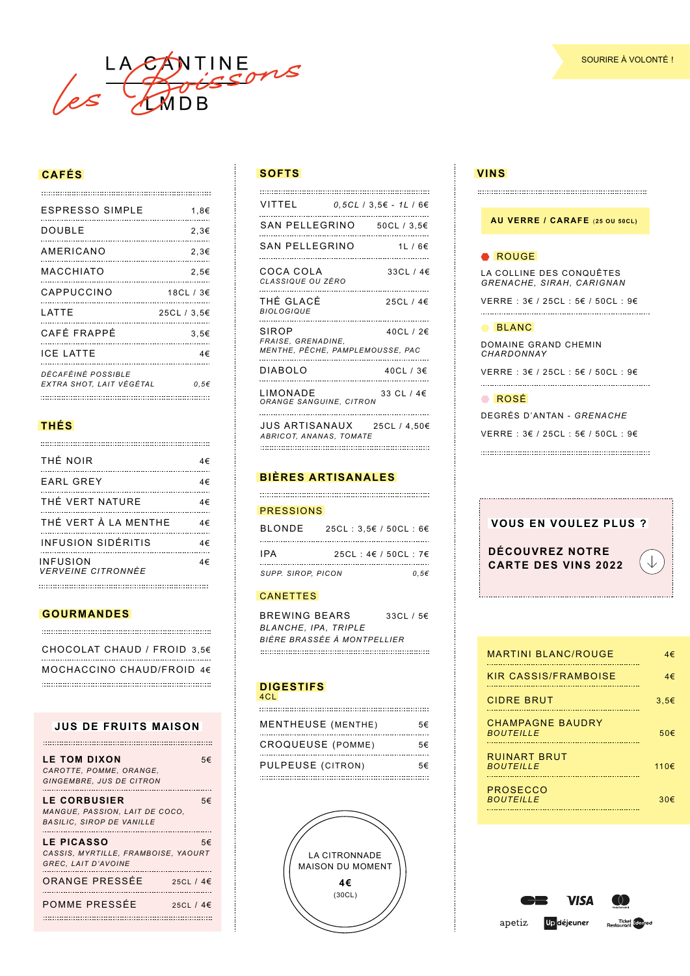

# **CAFÉS**

| <b>ESPRESSO SIMPLE</b>                         | 1,8€        |
|------------------------------------------------|-------------|
| DOUBLE                                         | 2,3€        |
| AMERICANO                                      | 2,3€        |
| MACCHIATO                                      | 2.5€        |
| CAPPUCCINO                                     | 18CL / 3€   |
| I ATTF                                         | 25CL / 3,5€ |
| CAFÉ FRAPPÉ                                    | 3,5€        |
| <b>ICE LATTE</b>                               | 4€          |
| DÉCAFÉINÉ POSSIBLE<br>EXTRA SHOT, LAIT VÉGÉTAL | 0.56        |

# **THÉS**

| THÉ NOIR                       | 4€ |
|--------------------------------|----|
| EARL GREY                      | 4€ |
| THÉ VERT NATURE                | 4€ |
| THÉ VERT À LA MENTHE<br>.      | 4€ |
| <b>INFUSION SIDÉRITIS</b>      |    |
| INFUSION<br>VERVEINE CITRONNÉE | 4€ |

#### **GOURMANDES**

CHOCOLAT CHAUD / FROID 3,5€ MOCHACCINO CHAUD/FROID 4€ 

#### **JUS DE FRUITS MAISON**

| <b>LE TOM DIXON</b><br>CAROTTE, POMME, ORANGE,<br><b>GINGEMBRE. JUS DE CITRON</b>         | 5€ |
|-------------------------------------------------------------------------------------------|----|
| <b>LE CORBUSIER</b><br>MANGUE, PASSION, LAIT DE COCO.<br><b>BASILIC. SIROP DE VANILLE</b> | 5€ |
| <b>LE PICASSO</b><br>CASSIS, MYRTILLE, FRAMBOISE, YAOURT<br>GREC, LAIT D'AVOINE           | 5€ |
| ORANGE PRESSÉE<br>25CL $/$ 4 $\in$                                                        |    |
| POMME PRESSÉE<br>25CL / 4€                                                                |    |

#### **SOFTS VINS**

| VITTEL                                                          | $0.5CL / 3.5€ - 1L / 6€$ |  |
|-----------------------------------------------------------------|--------------------------|--|
| SAN PELLEGRINO                                                  | 50CL / 3,5€              |  |
| SAN PELLEGRINO                                                  | 1L/6E                    |  |
| COCA COLA<br>CLASSIQUE OU ZÉRO                                  | 33CL / 4€                |  |
| THÉ GLACÉ<br><b>BIOLOGIQUE</b>                                  | 25CL / 4€                |  |
| SIROP<br>FRAISE, GRENADINE,<br>MENTHE, PÊCHE, PAMPLEMOUSSE, PAC | 40CL / 2€                |  |
| DIABOLO                                                         | <br>40CL / 3€            |  |
| LIMONADE<br>ORANGE SANGUINE, CITRON                             | 33 CL / 4€               |  |
| <b>HIS ADTICANAILY</b>                                          | 2501/1506                |  |

JUS ARTISANAUX 25CL / 4,50€ *ABRICOT, ANANAS, TOMATE* 

# **BIÈRES ARTISANALES**

#### PRESSIONS

| <b>BLONDE</b>      | 25CL : $3.5€$ / 50CL : 6€     |      |
|--------------------|-------------------------------|------|
| IPA                | 25CL: $4 \in 750$ CL: $7 \in$ |      |
| SUPP. SIROP. PICON |                               | 0.56 |

#### CANETTES

BREWING BEARS 33CL / 5€ *BLANCHE, IPA, TRIPLE BIÈRE BRASSÉE À MONTPELLIER* 

#### **DIGESTIFS** 4CL

| MENTHEUSE (MENTHE) | 5€ |
|--------------------|----|
| CROQUEUSE (POMME)  | 5€ |
| PULPEUSE (CITRON)  | 5€ |
|                    |    |



# **AU VERRE / CARAFE** (**25 OU 50CL)**

#### ROUGE ROUGE

LA COLLINE DES CONQUÊTES *GRENACHE, SIRAH, CARIGNAN*

VERRE : 3€ / 25CL : 5€ / 50CL : 9€ 

#### BLANC BLANC

DOMAINE GRAND CHEMIN *CHARDONNAY* 

VERRE : 3€ / 25CL : 5€ / 50CL : 9€ 

#### ROSÉ ROSÉ

DEGRÉS D'ANTAN - *GRENACHE*

VERRE : 3€ / 25CL : 5€ / 50CL : 9€ 

| <b>VOUS EN VOULEZ PLUS ?</b>                         |  |
|------------------------------------------------------|--|
| <b>DÉCOUVREZ NOTRE</b><br><b>CARTE DES VINS 2022</b> |  |

| <b>MARTINI BLANC/ROUGE</b>                  | 4€        |
|---------------------------------------------|-----------|
| KIR CASSIS/FRAMBOISE                        | 4€        |
| <b>CIDRE BRUT</b>                           | 3.56      |
| <b>CHAMPAGNE BAUDRY</b><br><b>BOUTEILLE</b> | 50€       |
| <b>RUINART BRUT</b><br><b>BOUTEILLE</b>     | $110 \in$ |
| PROSECCO<br><b>BOUTEILLE</b>                | 30€       |